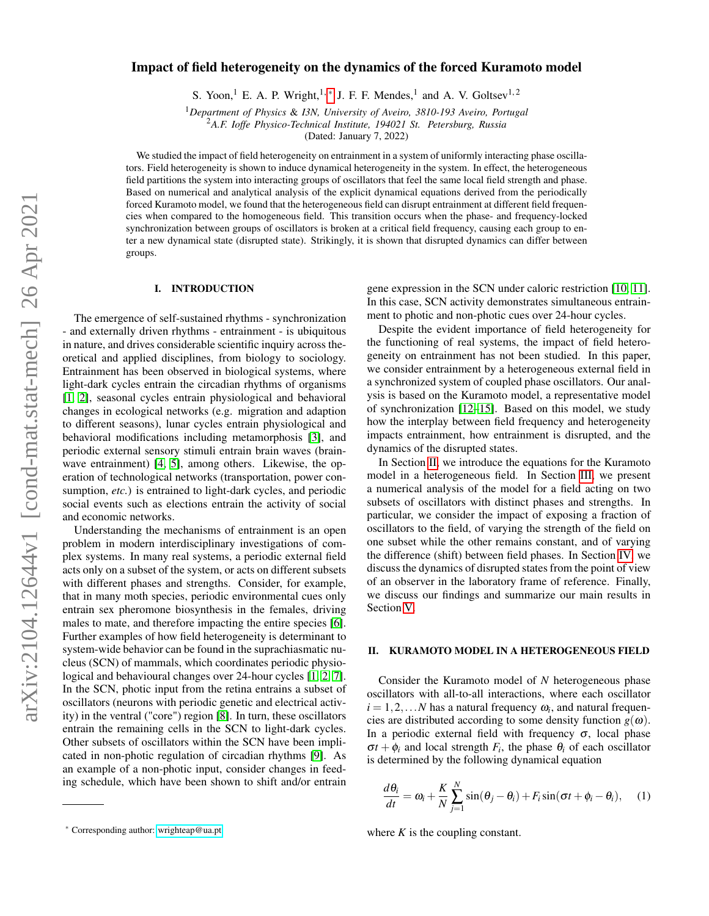# Impact of field heterogeneity on the dynamics of the forced Kuramoto model

S. Yoon,<sup>1</sup> E. A. P. Wright,<sup>1,\*</sup> J. F. F. Mendes,<sup>1</sup> and A. V. Goltsev<sup>1,2</sup>

<sup>1</sup>*Department of Physics* & *I3N, University of Aveiro, 3810-193 Aveiro, Portugal*

<sup>2</sup>*A.F. Ioffe Physico-Technical Institute, 194021 St. Petersburg, Russia*

(Dated: January 7, 2022)

We studied the impact of field heterogeneity on entrainment in a system of uniformly interacting phase oscillators. Field heterogeneity is shown to induce dynamical heterogeneity in the system. In effect, the heterogeneous field partitions the system into interacting groups of oscillators that feel the same local field strength and phase. Based on numerical and analytical analysis of the explicit dynamical equations derived from the periodically forced Kuramoto model, we found that the heterogeneous field can disrupt entrainment at different field frequencies when compared to the homogeneous field. This transition occurs when the phase- and frequency-locked synchronization between groups of oscillators is broken at a critical field frequency, causing each group to enter a new dynamical state (disrupted state). Strikingly, it is shown that disrupted dynamics can differ between groups.

#### I. INTRODUCTION

The emergence of self-sustained rhythms - synchronization - and externally driven rhythms - entrainment - is ubiquitous in nature, and drives considerable scientific inquiry across theoretical and applied disciplines, from biology to sociology. Entrainment has been observed in biological systems, where light-dark cycles entrain the circadian rhythms of organisms [\[1,](#page-8-0) [2\]](#page-8-1), seasonal cycles entrain physiological and behavioral changes in ecological networks (e.g. migration and adaption to different seasons), lunar cycles entrain physiological and behavioral modifications including metamorphosis [\[3\]](#page-8-2), and periodic external sensory stimuli entrain brain waves (brainwave entrainment) [\[4,](#page-8-3) [5\]](#page-8-4), among others. Likewise, the operation of technological networks (transportation, power consumption, *etc.*) is entrained to light-dark cycles, and periodic social events such as elections entrain the activity of social and economic networks.

Understanding the mechanisms of entrainment is an open problem in modern interdisciplinary investigations of complex systems. In many real systems, a periodic external field acts only on a subset of the system, or acts on different subsets with different phases and strengths. Consider, for example, that in many moth species, periodic environmental cues only entrain sex pheromone biosynthesis in the females, driving males to mate, and therefore impacting the entire species [\[6\]](#page-8-5). Further examples of how field heterogeneity is determinant to system-wide behavior can be found in the suprachiasmatic nucleus (SCN) of mammals, which coordinates periodic physiological and behavioural changes over 24-hour cycles [\[1,](#page-8-0) [2,](#page-8-1) [7\]](#page-9-0). In the SCN, photic input from the retina entrains a subset of oscillators (neurons with periodic genetic and electrical activity) in the ventral ("core") region [\[8\]](#page-9-1). In turn, these oscillators entrain the remaining cells in the SCN to light-dark cycles. Other subsets of oscillators within the SCN have been implicated in non-photic regulation of circadian rhythms [\[9\]](#page-9-2). As an example of a non-photic input, consider changes in feeding schedule, which have been shown to shift and/or entrain

gene expression in the SCN under caloric restriction [\[10,](#page-9-3) [11\]](#page-9-4). In this case, SCN activity demonstrates simultaneous entrainment to photic and non-photic cues over 24-hour cycles.

Despite the evident importance of field heterogeneity for the functioning of real systems, the impact of field heterogeneity on entrainment has not been studied. In this paper, we consider entrainment by a heterogeneous external field in a synchronized system of coupled phase oscillators. Our analysis is based on the Kuramoto model, a representative model of synchronization [\[12](#page-9-5)[–15\]](#page-9-6). Based on this model, we study how the interplay between field frequency and heterogeneity impacts entrainment, how entrainment is disrupted, and the dynamics of the disrupted states.

In Section [II,](#page-0-1) we introduce the equations for the Kuramoto model in a heterogeneous field. In Section [III,](#page-1-0) we present a numerical analysis of the model for a field acting on two subsets of oscillators with distinct phases and strengths. In particular, we consider the impact of exposing a fraction of oscillators to the field, of varying the strength of the field on one subset while the other remains constant, and of varying the difference (shift) between field phases. In Section [IV,](#page-6-0) we discuss the dynamics of disrupted states from the point of view of an observer in the laboratory frame of reference. Finally, we discuss our findings and summarize our main results in Section [V.](#page-7-0)

## <span id="page-0-1"></span>II. KURAMOTO MODEL IN A HETEROGENEOUS FIELD

Consider the Kuramoto model of *N* heterogeneous phase oscillators with all-to-all interactions, where each oscillator  $i = 1, 2, \dots N$  has a natural frequency  $\omega_i$ , and natural frequencies are distributed according to some density function  $g(\omega)$ . In a periodic external field with frequency  $\sigma$ , local phase  $\sigma t + \phi_i$  and local strength  $F_i$ , the phase  $\theta_i$  of each oscillator is determined by the following dynamical equation

<span id="page-0-2"></span>
$$
\frac{d\theta_i}{dt} = \omega_i + \frac{K}{N} \sum_{j=1}^{N} \sin(\theta_j - \theta_i) + F_i \sin(\sigma t + \phi_i - \theta_i), \quad (1)
$$

where  $K$  is the coupling constant.

<span id="page-0-0"></span><sup>∗</sup> Corresponding author: [wrighteap@ua.pt](mailto:wrighteap@ua.pt)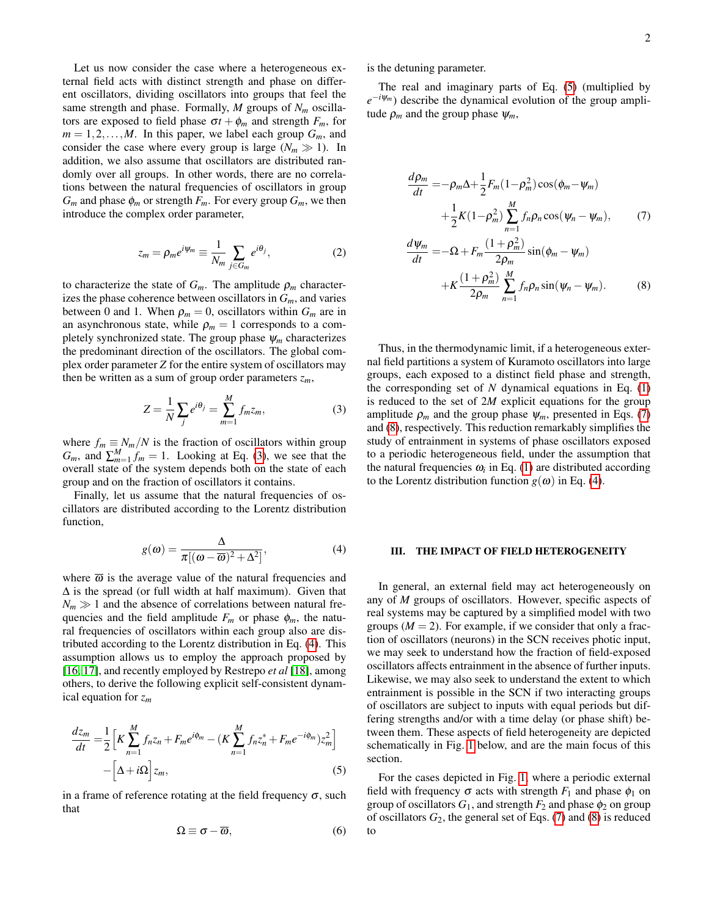Let us now consider the case where a heterogeneous external field acts with distinct strength and phase on different oscillators, dividing oscillators into groups that feel the same strength and phase. Formally, *M* groups of *N<sup>m</sup>* oscillators are exposed to field phase  $\sigma t + \phi_m$  and strength  $F_m$ , for  $m = 1, 2, \ldots, M$ . In this paper, we label each group  $G_m$ , and consider the case where every group is large  $(N_m \gg 1)$ . In addition, we also assume that oscillators are distributed randomly over all groups. In other words, there are no correlations between the natural frequencies of oscillators in group  $G_m$  and phase  $\phi_m$  or strength  $F_m$ . For every group  $G_m$ , we then introduce the complex order parameter,

$$
z_m = \rho_m e^{i\Psi_m} \equiv \frac{1}{N_m} \sum_{j \in G_m} e^{i\theta_j}, \qquad (2)
$$

to characterize the state of  $G_m$ . The amplitude  $\rho_m$  characterizes the phase coherence between oscillators in  $G_m$ , and varies between 0 and 1. When  $\rho_m = 0$ , oscillators within  $G_m$  are in an asynchronous state, while  $\rho_m = 1$  corresponds to a completely synchronized state. The group phase  $\psi_m$  characterizes the predominant direction of the oscillators. The global complex order parameter *Z* for the entire system of oscillators may then be written as a sum of group order parameters  $z_m$ ,

<span id="page-1-1"></span>
$$
Z = \frac{1}{N} \sum_{j} e^{i\theta_j} = \sum_{m=1}^{M} f_m z_m,
$$
 (3)

where  $f_m \equiv N_m/N$  is the fraction of oscillators within group  $G_m$ , and  $\sum_{m=1}^{M} f_m = 1$ . Looking at Eq. [\(3\)](#page-1-1), we see that the overall state of the system depends both on the state of each group and on the fraction of oscillators it contains.

Finally, let us assume that the natural frequencies of oscillators are distributed according to the Lorentz distribution function,

<span id="page-1-2"></span>
$$
g(\omega) = \frac{\Delta}{\pi[(\omega - \overline{\omega})^2 + \Delta^2]},
$$
\n(4)

where  $\overline{\omega}$  is the average value of the natural frequencies and ∆ is the spread (or full width at half maximum). Given that  $N_m \gg 1$  and the absence of correlations between natural frequencies and the field amplitude  $F_m$  or phase  $\phi_m$ , the natural frequencies of oscillators within each group also are distributed according to the Lorentz distribution in Eq. [\(4\)](#page-1-2). This assumption allows us to employ the approach proposed by [\[16,](#page-9-7) [17\]](#page-9-8), and recently employed by Restrepo *et al* [\[18\]](#page-9-9), among others, to derive the following explicit self-consistent dynamical equation for *z<sup>m</sup>*

<span id="page-1-3"></span>
$$
\frac{dz_m}{dt} = \frac{1}{2} \left[ K \sum_{n=1}^{M} f_n z_n + F_m e^{i\phi_m} - (K \sum_{n=1}^{M} f_n z_n^* + F_m e^{-i\phi_m}) z_m^2 \right] - \left[ \Delta + i\Omega \right] z_m,
$$
\n(5)

in a frame of reference rotating at the field frequency  $\sigma$ , such that

<span id="page-1-5"></span>
$$
\Omega \equiv \sigma - \overline{\omega},\tag{6}
$$

is the detuning parameter.

The real and imaginary parts of Eq. [\(5\)](#page-1-3) (multiplied by  $e^{-i\Psi_m}$ ) describe the dynamical evolution of the group amplitude  $\rho_m$  and the group phase  $\psi_m$ ,

<span id="page-1-4"></span>
$$
\frac{d\rho_m}{dt} = -\rho_m \Delta + \frac{1}{2} F_m (1 - \rho_m^2) \cos(\phi_m - \psi_m) \n+ \frac{1}{2} K (1 - \rho_m^2) \sum_{n=1}^M f_n \rho_n \cos(\psi_n - \psi_m),
$$
\n(7)\n
$$
\frac{d\psi_m}{dt} = -\Omega + F_m \frac{(1 + \rho_m^2)}{2\rho_m} \sin(\phi_m - \psi_m) \n+ K \frac{(1 + \rho_m^2)}{2\rho_m} \sum_{n=1}^M f_n \rho_n \sin(\psi_n - \psi_m).
$$
\n(8)

Thus, in the thermodynamic limit, if a heterogeneous external field partitions a system of Kuramoto oscillators into large groups, each exposed to a distinct field phase and strength, the corresponding set of  $N$  dynamical equations in Eq.  $(1)$ is reduced to the set of 2*M* explicit equations for the group amplitude  $\rho_m$  and the group phase  $\psi_m$ , presented in Eqs. [\(7\)](#page-1-4) and [\(8\)](#page-1-4), respectively. This reduction remarkably simplifies the study of entrainment in systems of phase oscillators exposed to a periodic heterogeneous field, under the assumption that the natural frequencies  $\omega_i$  in Eq. [\(1\)](#page-0-2) are distributed according to the Lorentz distribution function  $g(\omega)$  in Eq. [\(4\)](#page-1-2).

## <span id="page-1-0"></span>III. THE IMPACT OF FIELD HETEROGENEITY

In general, an external field may act heterogeneously on any of *M* groups of oscillators. However, specific aspects of real systems may be captured by a simplified model with two groups  $(M = 2)$ . For example, if we consider that only a fraction of oscillators (neurons) in the SCN receives photic input, we may seek to understand how the fraction of field-exposed oscillators affects entrainment in the absence of further inputs. Likewise, we may also seek to understand the extent to which entrainment is possible in the SCN if two interacting groups of oscillators are subject to inputs with equal periods but differing strengths and/or with a time delay (or phase shift) between them. These aspects of field heterogeneity are depicted schematically in Fig. [1](#page-2-0) below, and are the main focus of this section.

For the cases depicted in Fig. [1,](#page-2-0) where a periodic external field with frequency  $\sigma$  acts with strength  $F_1$  and phase  $\phi_1$  on group of oscillators  $G_1$ , and strength  $F_2$  and phase  $\phi_2$  on group of oscillators  $G_2$ , the general set of Eqs. [\(7\)](#page-1-4) and [\(8\)](#page-1-4) is reduced to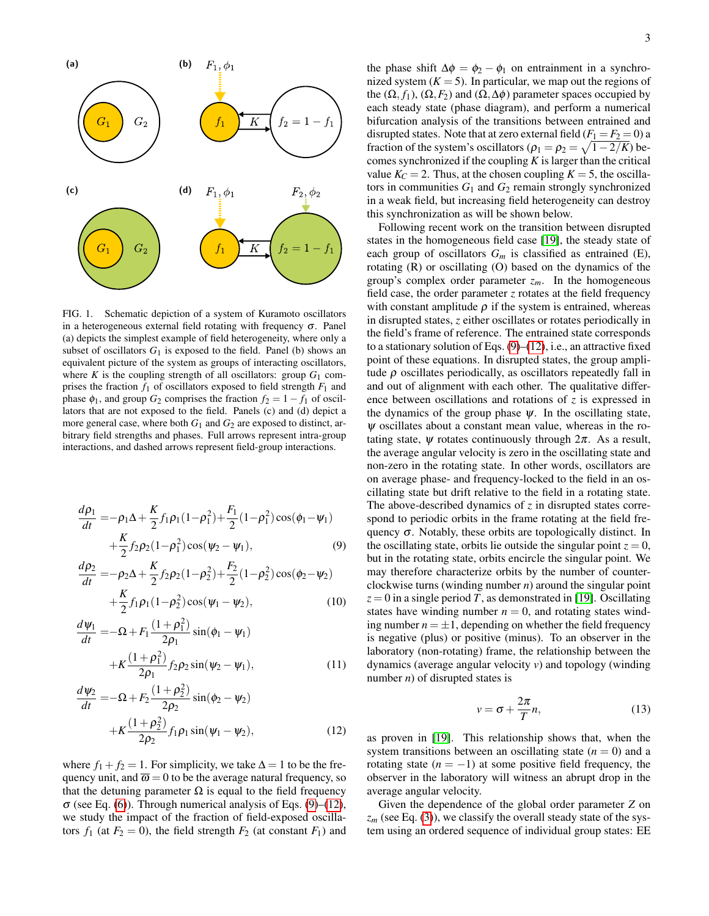

<span id="page-2-0"></span>FIG. 1. Schematic depiction of a system of Kuramoto oscillators in a heterogeneous external field rotating with frequency σ. Panel (a) depicts the simplest example of field heterogeneity, where only a subset of oscillators  $G_1$  is exposed to the field. Panel (b) shows an equivalent picture of the system as groups of interacting oscillators, where  $K$  is the coupling strength of all oscillators: group  $G_1$  comprises the fraction  $f_1$  of oscillators exposed to field strength  $F_1$  and phase  $\phi_1$ , and group  $G_2$  comprises the fraction  $f_2 = 1 - f_1$  of oscillators that are not exposed to the field. Panels (c) and (d) depict a more general case, where both  $G_1$  and  $G_2$  are exposed to distinct, arbitrary field strengths and phases. Full arrows represent intra-group interactions, and dashed arrows represent field-group interactions.

<span id="page-2-1"></span>
$$
\frac{d\rho_1}{dt} = -\rho_1 \Delta + \frac{K}{2} f_1 \rho_1 (1 - \rho_1^2) + \frac{F_1}{2} (1 - \rho_1^2) \cos(\phi_1 - \psi_1) + \frac{K}{2} f_2 \rho_2 (1 - \rho_1^2) \cos(\psi_2 - \psi_1), \tag{9}
$$

$$
\frac{d\rho_2}{dt} = -\rho_2 \Delta + \frac{K}{2} f_2 \rho_2 (1 - \rho_2^2) + \frac{F_2}{2} (1 - \rho_2^2) \cos(\phi_2 - \psi_2) \n+ \frac{K}{2} f_1 \rho_1 (1 - \rho_2^2) \cos(\psi_1 - \psi_2),
$$
\n(10)

$$
\frac{d\psi_1}{dt} = -\Omega + F_1 \frac{(1+\rho_1^2)}{2\rho_1} \sin(\phi_1 - \psi_1) \n+ K \frac{(1+\rho_1^2)}{2\rho_1} f_2 \rho_2 \sin(\psi_2 - \psi_1),
$$
\n(11)

$$
\frac{d\psi_2}{dt} = -\Omega + F_2 \frac{(1+\rho_2^2)}{2\rho_2} \sin(\phi_2 - \psi_2) \n+ K \frac{(1+\rho_2^2)}{2\rho_2} f_1 \rho_1 \sin(\psi_1 - \psi_2),
$$
\n(12)

where  $f_1 + f_2 = 1$ . For simplicity, we take  $\Delta = 1$  to be the frequency unit, and  $\overline{\omega} = 0$  to be the average natural frequency, so that the detuning parameter  $Ω$  is equal to the field frequency  $\sigma$  (see Eq. [\(6\)](#page-1-5)). Through numerical analysis of Eqs. [\(9\)](#page-2-1)–[\(12\)](#page-2-1), we study the impact of the fraction of field-exposed oscillators  $f_1$  (at  $F_2 = 0$ ), the field strength  $F_2$  (at constant  $F_1$ ) and the phase shift  $\Delta \phi = \phi_2 - \phi_1$  on entrainment in a synchronized system  $(K = 5)$ . In particular, we map out the regions of the  $(\Omega, f_1)$ ,  $(\Omega, F_2)$  and  $(\Omega, \Delta \phi)$  parameter spaces occupied by each steady state (phase diagram), and perform a numerical bifurcation analysis of the transitions between entrained and disrupted states. Note that at zero external field  $(F_1 = F_2 = 0)$  a fraction of the system's oscillators ( $\rho_1 = \rho_2 = \sqrt{1 - 2/K}$ ) becomes synchronized if the coupling  $K$  is larger than the critical value  $K_C = 2$ . Thus, at the chosen coupling  $K = 5$ , the oscillators in communities  $G_1$  and  $G_2$  remain strongly synchronized in a weak field, but increasing field heterogeneity can destroy this synchronization as will be shown below.

Following recent work on the transition between disrupted states in the homogeneous field case [\[19\]](#page-9-10), the steady state of each group of oscillators  $G_m$  is classified as entrained (E), rotating (R) or oscillating (O) based on the dynamics of the group's complex order parameter *zm*. In the homogeneous field case, the order parameter *z* rotates at the field frequency with constant amplitude  $\rho$  if the system is entrained, whereas in disrupted states, *z* either oscillates or rotates periodically in the field's frame of reference. The entrained state corresponds to a stationary solution of Eqs. [\(9\)](#page-2-1)–[\(12\)](#page-2-1), i.e., an attractive fixed point of these equations. In disrupted states, the group amplitude  $\rho$  oscillates periodically, as oscillators repeatedly fall in and out of alignment with each other. The qualitative difference between oscillations and rotations of *z* is expressed in the dynamics of the group phase  $\psi$ . In the oscillating state,  $\psi$  oscillates about a constant mean value, whereas in the rotating state,  $\psi$  rotates continuously through  $2\pi$ . As a result, the average angular velocity is zero in the oscillating state and non-zero in the rotating state. In other words, oscillators are on average phase- and frequency-locked to the field in an oscillating state but drift relative to the field in a rotating state. The above-described dynamics of *z* in disrupted states correspond to periodic orbits in the frame rotating at the field frequency  $\sigma$ . Notably, these orbits are topologically distinct. In the oscillating state, orbits lie outside the singular point  $z = 0$ , but in the rotating state, orbits encircle the singular point. We may therefore characterize orbits by the number of counterclockwise turns (winding number *n*) around the singular point  $z = 0$  in a single period *T*, as demonstrated in [\[19\]](#page-9-10). Oscillating states have winding number  $n = 0$ , and rotating states winding number  $n = \pm 1$ , depending on whether the field frequency is negative (plus) or positive (minus). To an observer in the laboratory (non-rotating) frame, the relationship between the dynamics (average angular velocity *v*) and topology (winding number *n*) of disrupted states is

<span id="page-2-2"></span>
$$
v = \sigma + \frac{2\pi}{T}n,\tag{13}
$$

as proven in [\[19\]](#page-9-10). This relationship shows that, when the system transitions between an oscillating state  $(n = 0)$  and a rotating state  $(n = -1)$  at some positive field frequency, the observer in the laboratory will witness an abrupt drop in the average angular velocity.

Given the dependence of the global order parameter *Z* on  $z_m$  (see Eq. [\(3\)](#page-1-1)), we classify the overall steady state of the system using an ordered sequence of individual group states: EE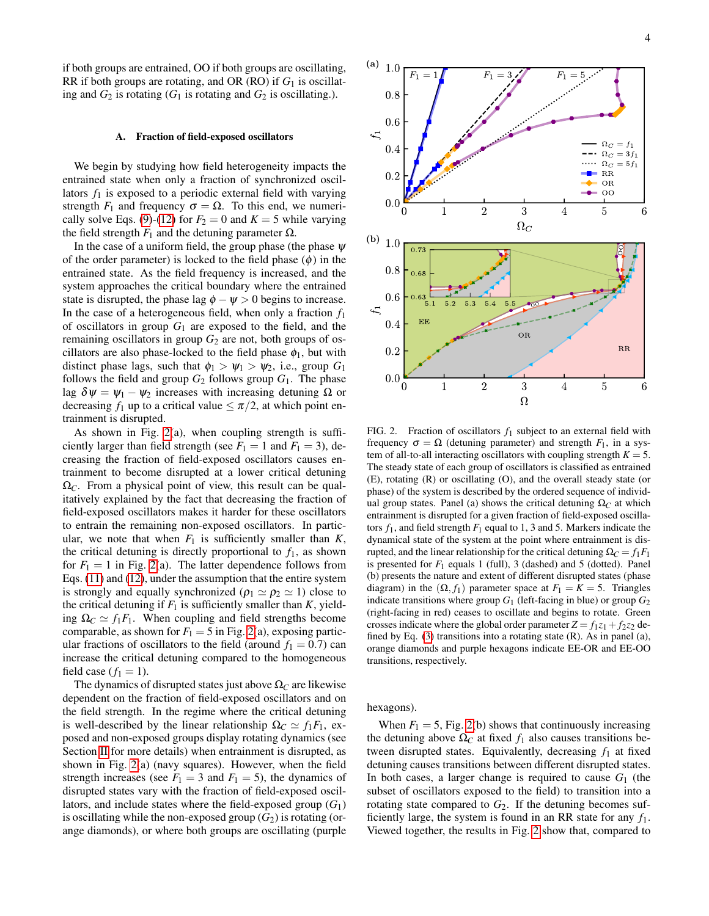if both groups are entrained, OO if both groups are oscillating, RR if both groups are rotating, and OR (RO) if *G*<sup>1</sup> is oscillating and  $G_2$  is rotating  $(G_1$  is rotating and  $G_2$  is oscillating.).

## A. Fraction of field-exposed oscillators

We begin by studying how field heterogeneity impacts the entrained state when only a fraction of synchronized oscillators  $f_1$  is exposed to a periodic external field with varying strength  $F_1$  and frequency  $\sigma = \Omega$ . To this end, we numeri-cally solve Eqs. [\(9\)](#page-2-1)-[\(12\)](#page-2-1) for  $F_2 = 0$  and  $K = 5$  while varying the field strength  $F_1$  and the detuning parameter  $Ω$ .

In the case of a uniform field, the group phase (the phase  $\psi$ of the order parameter) is locked to the field phase  $(\phi)$  in the entrained state. As the field frequency is increased, and the system approaches the critical boundary where the entrained state is disrupted, the phase lag  $\phi - \psi > 0$  begins to increase. In the case of a heterogeneous field, when only a fraction  $f_1$ of oscillators in group *G*<sup>1</sup> are exposed to the field, and the remaining oscillators in group  $G_2$  are not, both groups of oscillators are also phase-locked to the field phase  $\phi_1$ , but with distinct phase lags, such that  $\phi_1 > \psi_1 > \psi_2$ , i.e., group  $G_1$ follows the field and group  $G_2$  follows group  $G_1$ . The phase lag  $\delta \psi = \psi_1 - \psi_2$  increases with increasing detuning  $\Omega$  or decreasing  $f_1$  up to a critical value  $\leq \pi/2$ , at which point entrainment is disrupted.

As shown in Fig. [2\(](#page-3-0)a), when coupling strength is sufficiently larger than field strength (see  $F_1 = 1$  and  $F_1 = 3$ ), decreasing the fraction of field-exposed oscillators causes entrainment to become disrupted at a lower critical detuning  $\Omega_{\mathcal{C}}$ . From a physical point of view, this result can be qualitatively explained by the fact that decreasing the fraction of field-exposed oscillators makes it harder for these oscillators to entrain the remaining non-exposed oscillators. In particular, we note that when  $F_1$  is sufficiently smaller than  $K$ , the critical detuning is directly proportional to  $f_1$ , as shown for  $F_1 = 1$  in Fig. [2\(](#page-3-0)a). The latter dependence follows from Eqs. [\(11\)](#page-2-1) and [\(12\)](#page-2-1), under the assumption that the entire system is strongly and equally synchronized ( $\rho_1 \simeq \rho_2 \simeq 1$ ) close to the critical detuning if  $F_1$  is sufficiently smaller than  $K$ , yielding  $\Omega_C \simeq f_1 F_1$ . When coupling and field strengths become comparable, as shown for  $F_1 = 5$  in Fig. [2\(](#page-3-0)a), exposing particular fractions of oscillators to the field (around  $f_1 = 0.7$ ) can increase the critical detuning compared to the homogeneous field case  $(f_1 = 1)$ .

The dynamics of disrupted states just above  $\Omega_c$  are likewise dependent on the fraction of field-exposed oscillators and on the field strength. In the regime where the critical detuning is well-described by the linear relationship  $\Omega_C \simeq f_1F_1$ , exposed and non-exposed groups display rotating dynamics (see Section [II](#page-0-1) for more details) when entrainment is disrupted, as shown in Fig. [2\(](#page-3-0)a) (navy squares). However, when the field strength increases (see  $F_1 = 3$  and  $F_1 = 5$ ), the dynamics of disrupted states vary with the fraction of field-exposed oscillators, and include states where the field-exposed group  $(G_1)$ is oscillating while the non-exposed group  $(G_2)$  is rotating (orange diamonds), or where both groups are oscillating (purple



<span id="page-3-0"></span>FIG. 2. Fraction of oscillators *f*<sup>1</sup> subject to an external field with frequency  $\sigma = \Omega$  (detuning parameter) and strength  $F_1$ , in a system of all-to-all interacting oscillators with coupling strength  $K = 5$ . The steady state of each group of oscillators is classified as entrained (E), rotating (R) or oscillating (O), and the overall steady state (or phase) of the system is described by the ordered sequence of individual group states. Panel (a) shows the critical detuning  $Ω<sub>C</sub>$  at which entrainment is disrupted for a given fraction of field-exposed oscillators  $f_1$ , and field strength  $F_1$  equal to 1, 3 and 5. Markers indicate the dynamical state of the system at the point where entrainment is disrupted, and the linear relationship for the critical detuning  $Ω<sub>C</sub> = f<sub>1</sub>F<sub>1</sub>$ is presented for  $F_1$  equals 1 (full), 3 (dashed) and 5 (dotted). Panel (b) presents the nature and extent of different disrupted states (phase diagram) in the  $(\Omega, f_1)$  parameter space at  $F_1 = K = 5$ . Triangles indicate transitions where group  $G_1$  (left-facing in blue) or group  $G_2$ (right-facing in red) ceases to oscillate and begins to rotate. Green crosses indicate where the global order parameter  $Z = f_1z_1 + f_2z_2$  defined by Eq.  $(3)$  transitions into a rotating state  $(R)$ . As in panel  $(a)$ , orange diamonds and purple hexagons indicate EE-OR and EE-OO transitions, respectively.

hexagons).

When  $F_1 = 5$ , Fig. [2\(](#page-3-0)b) shows that continuously increasing the detuning above  $\Omega_C$  at fixed  $f_1$  also causes transitions between disrupted states. Equivalently, decreasing  $f_1$  at fixed detuning causes transitions between different disrupted states. In both cases, a larger change is required to cause  $G_1$  (the subset of oscillators exposed to the field) to transition into a rotating state compared to  $G_2$ . If the detuning becomes sufficiently large, the system is found in an RR state for any *f*1. Viewed together, the results in Fig. [2](#page-3-0) show that, compared to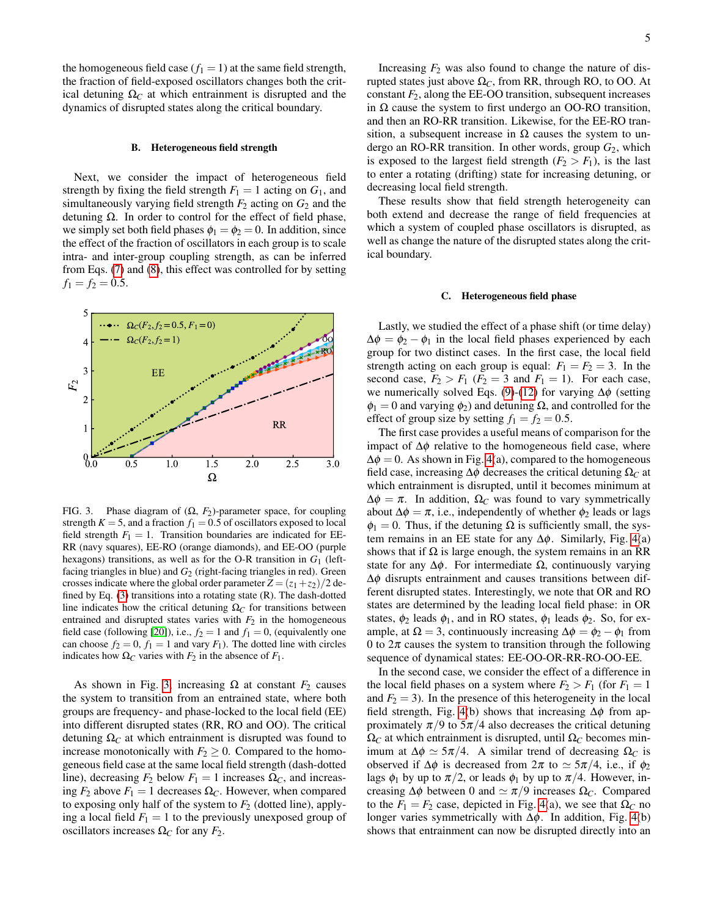the homogeneous field case  $(f_1 = 1)$  at the same field strength, the fraction of field-exposed oscillators changes both the critical detuning Ω*<sup>C</sup>* at which entrainment is disrupted and the dynamics of disrupted states along the critical boundary.

#### <span id="page-4-1"></span>B. Heterogeneous field strength

Next, we consider the impact of heterogeneous field strength by fixing the field strength  $F_1 = 1$  acting on  $G_1$ , and simultaneously varying field strength  $F_2$  acting on  $G_2$  and the detuning Ω. In order to control for the effect of field phase, we simply set both field phases  $\phi_1 = \phi_2 = 0$ . In addition, since the effect of the fraction of oscillators in each group is to scale intra- and inter-group coupling strength, as can be inferred from Eqs. [\(7\)](#page-1-4) and [\(8\)](#page-1-4), this effect was controlled for by setting  $f_1 = f_2 = 0.5.$ 



<span id="page-4-0"></span>FIG. 3. Phase diagram of (Ω, *F*2)-parameter space, for coupling strength  $K = 5$ , and a fraction  $f_1 = 0.5$  of oscillators exposed to local field strength  $F_1 = 1$ . Transition boundaries are indicated for EE-RR (navy squares), EE-RO (orange diamonds), and EE-OO (purple hexagons) transitions, as well as for the O-R transition in *G*<sup>1</sup> (leftfacing triangles in blue) and *G*<sup>2</sup> (right-facing triangles in red). Green crosses indicate where the global order parameter  $Z = (z_1 + z_2)/2$  defined by Eq.  $(3)$  transitions into a rotating state  $(R)$ . The dash-dotted line indicates how the critical detuning  $\Omega_C$  for transitions between entrained and disrupted states varies with  $F_2$  in the homogeneous field case (following [\[20\]](#page-9-11)), i.e.,  $f_2 = 1$  and  $f_1 = 0$ , (equivalently one can choose  $f_2 = 0$ ,  $f_1 = 1$  and vary  $F_1$ ). The dotted line with circles indicates how  $\Omega_C$  varies with  $F_2$  in the absence of  $F_1$ .

As shown in Fig. [3,](#page-4-0) increasing  $\Omega$  at constant  $F_2$  causes the system to transition from an entrained state, where both groups are frequency- and phase-locked to the local field (EE) into different disrupted states (RR, RO and OO). The critical detuning  $\Omega_C$  at which entrainment is disrupted was found to increase monotonically with  $F_2 \geq 0$ . Compared to the homogeneous field case at the same local field strength (dash-dotted line), decreasing  $F_2$  below  $F_1 = 1$  increases  $\Omega_C$ , and increasing  $F_2$  above  $F_1 = 1$  decreases  $\Omega_C$ . However, when compared to exposing only half of the system to  $F_2$  (dotted line), applying a local field  $F_1 = 1$  to the previously unexposed group of oscillators increases  $\Omega_C$  for any  $F_2$ .

Increasing  $F_2$  was also found to change the nature of disrupted states just above Ω*C*, from RR, through RO, to OO. At constant  $F_2$ , along the EE-OO transition, subsequent increases in Ω cause the system to first undergo an OO-RO transition, and then an RO-RR transition. Likewise, for the EE-RO transition, a subsequent increase in  $\Omega$  causes the system to undergo an RO-RR transition. In other words, group *G*2, which is exposed to the largest field strength  $(F_2 > F_1)$ , is the last to enter a rotating (drifting) state for increasing detuning, or decreasing local field strength.

These results show that field strength heterogeneity can both extend and decrease the range of field frequencies at which a system of coupled phase oscillators is disrupted, as well as change the nature of the disrupted states along the critical boundary.

#### C. Heterogeneous field phase

Lastly, we studied the effect of a phase shift (or time delay)  $\Delta \phi = \phi_2 - \phi_1$  in the local field phases experienced by each group for two distinct cases. In the first case, the local field strength acting on each group is equal:  $F_1 = F_2 = 3$ . In the second case,  $F_2 > F_1$  ( $F_2 = 3$  and  $F_1 = 1$ ). For each case, we numerically solved Eqs. [\(9\)](#page-2-1)-[\(12\)](#page-2-1) for varying  $\Delta\phi$  (setting  $\phi_1 = 0$  and varying  $\phi_2$ ) and detuning  $\Omega$ , and controlled for the effect of group size by setting  $f_1 = f_2 = 0.5$ .

The first case provides a useful means of comparison for the impact of  $Δφ$  relative to the homogeneous field case, where  $\Delta \phi = 0$ . As shown in Fig. [4\(](#page-5-0)a), compared to the homogeneous field case, increasing  $\Delta \phi$  decreases the critical detuning  $\Omega_C$  at which entrainment is disrupted, until it becomes minimum at  $\Delta \phi = \pi$ . In addition,  $\Omega_C$  was found to vary symmetrically about  $\Delta \phi = \pi$ , i.e., independently of whether  $\phi_2$  leads or lags  $\phi_1 = 0$ . Thus, if the detuning  $\Omega$  is sufficiently small, the system remains in an EE state for any  $\Delta \phi$ . Similarly, Fig. [4\(](#page-5-0)a) shows that if  $\Omega$  is large enough, the system remains in an RR state for any  $\Delta \phi$ . For intermediate  $\Omega$ , continuously varying  $\Delta\phi$  disrupts entrainment and causes transitions between different disrupted states. Interestingly, we note that OR and RO states are determined by the leading local field phase: in OR states,  $\phi_2$  leads  $\phi_1$ , and in RO states,  $\phi_1$  leads  $\phi_2$ . So, for example, at  $\Omega = 3$ , continuously increasing  $\Delta \phi = \phi_2 - \phi_1$  from 0 to  $2\pi$  causes the system to transition through the following sequence of dynamical states: EE-OO-OR-RR-RO-OO-EE.

In the second case, we consider the effect of a difference in the local field phases on a system where  $F_2 > F_1$  (for  $F_1 = 1$ and  $F_2 = 3$ ). In the presence of this heterogeneity in the local field strength, Fig. [4\(](#page-5-0)b) shows that increasing  $\Delta \phi$  from approximately  $\pi/9$  to  $5\pi/4$  also decreases the critical detuning  $\Omega_C$  at which entrainment is disrupted, until  $\Omega_C$  becomes minimum at  $\Delta \phi \simeq 5\pi/4$ . A similar trend of decreasing Ω<sub>*C*</sub> is observed if  $\Delta \phi$  is decreased from  $2\pi$  to  $\simeq 5\pi/4$ , i.e., if  $\phi_2$ lags  $\phi_1$  by up to  $\pi/2$ , or leads  $\phi_1$  by up to  $\pi/4$ . However, increasing  $\Delta \phi$  between 0 and  $\simeq \pi/9$  increases  $\Omega_C$ . Compared to the  $F_1 = F_2$  case, depicted in Fig. [4\(](#page-5-0)a), we see that  $\Omega_C$  no longer varies symmetrically with  $\Delta \phi$ . In addition, Fig. [4\(](#page-5-0)b) shows that entrainment can now be disrupted directly into an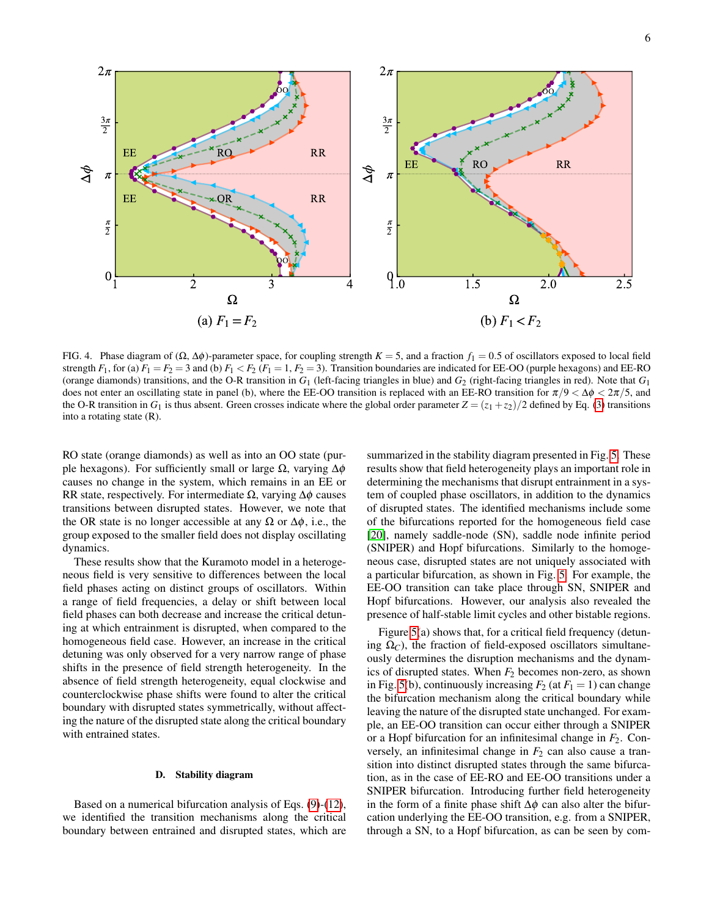

<span id="page-5-0"></span>FIG. 4. Phase diagram of (Ω,  $Δφ$ )-parameter space, for coupling strength  $K = 5$ , and a fraction  $f_1 = 0.5$  of oscillators exposed to local field strength  $F_1$ , for (a)  $F_1 = F_2 = 3$  and (b)  $F_1 < F_2$  ( $F_1 = 1, F_2 = 3$ ). Transition boundaries are indicated for EE-OO (purple hexagons) and EE-RO (orange diamonds) transitions, and the O-R transition in *G*<sup>1</sup> (left-facing triangles in blue) and *G*<sup>2</sup> (right-facing triangles in red). Note that *G*<sup>1</sup> does not enter an oscillating state in panel (b), where the EE-OO transition is replaced with an EE-RO transition for  $\pi/9 < \Delta\phi < 2\pi/5$ , and the O-R transition in  $G_1$  is thus absent. Green crosses indicate where the global order parameter  $Z = (z_1 + z_2)/2$  defined by Eq. [\(3\)](#page-1-1) transitions into a rotating state (R).

RO state (orange diamonds) as well as into an OO state (purple hexagons). For sufficiently small or large  $\Omega$ , varying  $\Delta \phi$ causes no change in the system, which remains in an EE or RR state, respectively. For intermediate  $\Omega$ , varying  $\Delta \phi$  causes transitions between disrupted states. However, we note that the OR state is no longer accessible at any  $\Omega$  or  $\Delta\phi$ , i.e., the group exposed to the smaller field does not display oscillating dynamics.

These results show that the Kuramoto model in a heterogeneous field is very sensitive to differences between the local field phases acting on distinct groups of oscillators. Within a range of field frequencies, a delay or shift between local field phases can both decrease and increase the critical detuning at which entrainment is disrupted, when compared to the homogeneous field case. However, an increase in the critical detuning was only observed for a very narrow range of phase shifts in the presence of field strength heterogeneity. In the absence of field strength heterogeneity, equal clockwise and counterclockwise phase shifts were found to alter the critical boundary with disrupted states symmetrically, without affecting the nature of the disrupted state along the critical boundary with entrained states.

## D. Stability diagram

Based on a numerical bifurcation analysis of Eqs. [\(9\)](#page-2-1)-[\(12\)](#page-2-1), we identified the transition mechanisms along the critical boundary between entrained and disrupted states, which are

summarized in the stability diagram presented in Fig. [5.](#page-6-1) These results show that field heterogeneity plays an important role in determining the mechanisms that disrupt entrainment in a system of coupled phase oscillators, in addition to the dynamics of disrupted states. The identified mechanisms include some of the bifurcations reported for the homogeneous field case [\[20\]](#page-9-11), namely saddle-node (SN), saddle node infinite period (SNIPER) and Hopf bifurcations. Similarly to the homogeneous case, disrupted states are not uniquely associated with a particular bifurcation, as shown in Fig. [5.](#page-6-1) For example, the EE-OO transition can take place through SN, SNIPER and Hopf bifurcations. However, our analysis also revealed the presence of half-stable limit cycles and other bistable regions.

Figure [5\(](#page-6-1)a) shows that, for a critical field frequency (detuning  $\Omega_C$ ), the fraction of field-exposed oscillators simultaneously determines the disruption mechanisms and the dynamics of disrupted states. When *F*<sup>2</sup> becomes non-zero, as shown in Fig. [5\(](#page-6-1)b), continuously increasing  $F_2$  (at  $F_1 = 1$ ) can change the bifurcation mechanism along the critical boundary while leaving the nature of the disrupted state unchanged. For example, an EE-OO transition can occur either through a SNIPER or a Hopf bifurcation for an infinitesimal change in *F*2. Conversely, an infinitesimal change in  $F_2$  can also cause a transition into distinct disrupted states through the same bifurcation, as in the case of EE-RO and EE-OO transitions under a SNIPER bifurcation. Introducing further field heterogeneity in the form of a finite phase shift  $\Delta \phi$  can also alter the bifurcation underlying the EE-OO transition, e.g. from a SNIPER, through a SN, to a Hopf bifurcation, as can be seen by com-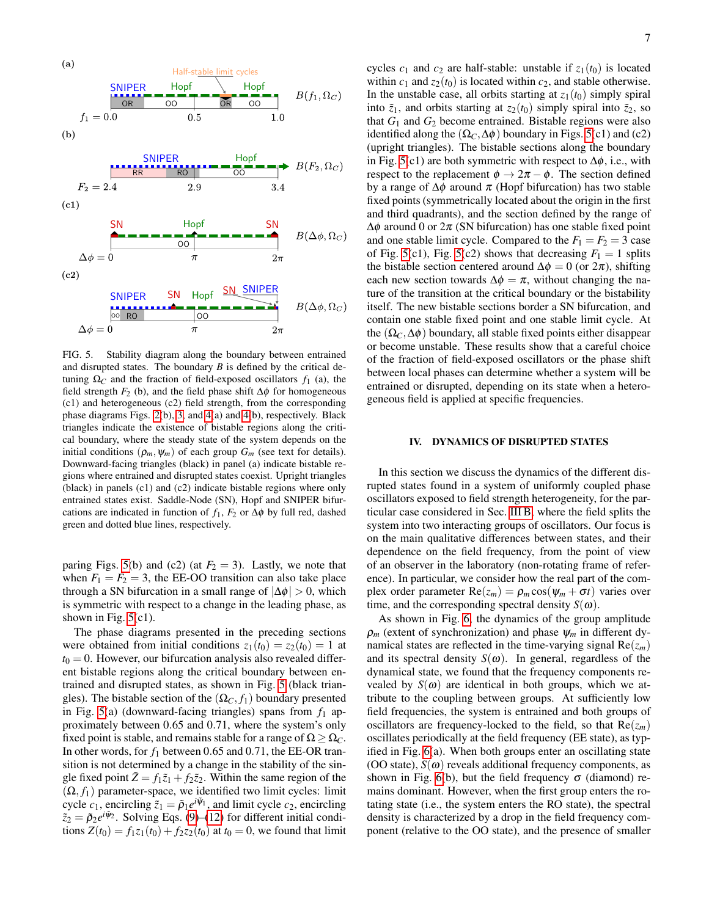

<span id="page-6-1"></span>FIG. 5. Stability diagram along the boundary between entrained and disrupted states. The boundary *B* is defined by the critical detuning  $\Omega_C$  and the fraction of field-exposed oscillators  $f_1$  (a), the field strength  $F_2$  (b), and the field phase shift  $\Delta \phi$  for homogeneous (c1) and heterogeneous (c2) field strength, from the corresponding phase diagrams Figs. [2\(](#page-3-0)b), [3,](#page-4-0) and [4\(](#page-5-0)a) and [4\(](#page-5-0)b), respectively. Black triangles indicate the existence of bistable regions along the critical boundary, where the steady state of the system depends on the initial conditions  $(\rho_m, \psi_m)$  of each group  $G_m$  (see text for details). Downward-facing triangles (black) in panel (a) indicate bistable regions where entrained and disrupted states coexist. Upright triangles (black) in panels (c1) and (c2) indicate bistable regions where only entrained states exist. Saddle-Node (SN), Hopf and SNIPER bifurcations are indicated in function of  $f_1$ ,  $F_2$  or  $\Delta\phi$  by full red, dashed green and dotted blue lines, respectively.

paring Figs. [5\(](#page-6-1)b) and (c2) (at  $F_2 = 3$ ). Lastly, we note that when  $F_1 = F_2 = 3$ , the EE-OO transition can also take place through a SN bifurcation in a small range of  $|\Delta \phi| > 0$ , which is symmetric with respect to a change in the leading phase, as shown in Fig.  $5(c1)$ .

The phase diagrams presented in the preceding sections were obtained from initial conditions  $z_1(t_0) = z_2(t_0) = 1$  at  $t_0 = 0$ . However, our bifurcation analysis also revealed different bistable regions along the critical boundary between entrained and disrupted states, as shown in Fig. [5](#page-6-1) (black triangles). The bistable section of the  $(\Omega_C, f_1)$  boundary presented in Fig. [5\(](#page-6-1)a) (downward-facing triangles) spans from  $f_1$  approximately between 0.65 and 0.71, where the system's only fixed point is stable, and remains stable for a range of  $\Omega \geq \Omega_C$ . In other words, for  $f_1$  between 0.65 and 0.71, the EE-OR transition is not determined by a change in the stability of the single fixed point  $\mathbf{Z} = f_1 \tilde{z}_1 + f_2 \tilde{z}_2$ . Within the same region of the  $(\Omega, f_1)$  parameter-space, we identified two limit cycles: limit cycle  $c_1$ , encircling  $\tilde{z}_1 = \tilde{\rho}_1 e^{i\tilde{\psi}_1}$ , and limit cycle  $c_2$ , encircling  $\tilde{z}_2 = \tilde{\rho}_2 e^{i\tilde{\psi}_2}$ . Solving Eqs. [\(9\)](#page-2-1)–[\(12\)](#page-2-1) for different initial conditions  $Z(t_0) = f_1 z_1(t_0) + f_2 z_2(t_0)$  at  $t_0 = 0$ , we found that limit

cycles  $c_1$  and  $c_2$  are half-stable: unstable if  $z_1(t_0)$  is located within  $c_1$  and  $z_2(t_0)$  is located within  $c_2$ , and stable otherwise. In the unstable case, all orbits starting at  $z_1(t_0)$  simply spiral into  $\tilde{z}_1$ , and orbits starting at  $z_2(t_0)$  simply spiral into  $\tilde{z}_2$ , so that  $G_1$  and  $G_2$  become entrained. Bistable regions were also identified along the  $(\Omega_C, \Delta \phi)$  boundary in Figs. [5\(](#page-6-1)c1) and (c2) (upright triangles). The bistable sections along the boundary in Fig. [5\(](#page-6-1)c1) are both symmetric with respect to  $\Delta \phi$ , i.e., with respect to the replacement  $\phi \to 2\pi - \phi$ . The section defined by a range of  $\Delta \phi$  around  $\pi$  (Hopf bifurcation) has two stable fixed points (symmetrically located about the origin in the first and third quadrants), and the section defined by the range of  $\Delta\phi$  around 0 or  $2\pi$  (SN bifurcation) has one stable fixed point and one stable limit cycle. Compared to the  $F_1 = F_2 = 3$  case of Fig. [5\(](#page-6-1)c1), Fig. 5(c2) shows that decreasing  $F_1 = 1$  splits the bistable section centered around  $\Delta \phi = 0$  (or  $2\pi$ ), shifting each new section towards  $\Delta \phi = \pi$ , without changing the nature of the transition at the critical boundary or the bistability itself. The new bistable sections border a SN bifurcation, and contain one stable fixed point and one stable limit cycle. At the  $(\Omega_C, \Delta \phi)$  boundary, all stable fixed points either disappear or become unstable. These results show that a careful choice of the fraction of field-exposed oscillators or the phase shift between local phases can determine whether a system will be entrained or disrupted, depending on its state when a heterogeneous field is applied at specific frequencies.

## <span id="page-6-0"></span>IV. DYNAMICS OF DISRUPTED STATES

In this section we discuss the dynamics of the different disrupted states found in a system of uniformly coupled phase oscillators exposed to field strength heterogeneity, for the particular case considered in Sec. [III B,](#page-4-1) where the field splits the system into two interacting groups of oscillators. Our focus is on the main qualitative differences between states, and their dependence on the field frequency, from the point of view of an observer in the laboratory (non-rotating frame of reference). In particular, we consider how the real part of the complex order parameter  $Re(z_m) = \rho_m cos(\psi_m + \sigma t)$  varies over time, and the corresponding spectral density  $S(\omega)$ .

As shown in Fig. [6,](#page-7-1) the dynamics of the group amplitude  $\rho_m$  (extent of synchronization) and phase  $\psi_m$  in different dynamical states are reflected in the time-varying signal  $Re(z_m)$ and its spectral density  $S(\omega)$ . In general, regardless of the dynamical state, we found that the frequency components revealed by  $S(\omega)$  are identical in both groups, which we attribute to the coupling between groups. At sufficiently low field frequencies, the system is entrained and both groups of oscillators are frequency-locked to the field, so that  $Re(z_m)$ oscillates periodically at the field frequency (EE state), as typified in Fig. [6\(](#page-7-1)a). When both groups enter an oscillating state (OO state),  $S(\omega)$  reveals additional frequency components, as shown in Fig. [6\(](#page-7-1)b), but the field frequency  $\sigma$  (diamond) remains dominant. However, when the first group enters the rotating state (i.e., the system enters the RO state), the spectral density is characterized by a drop in the field frequency component (relative to the OO state), and the presence of smaller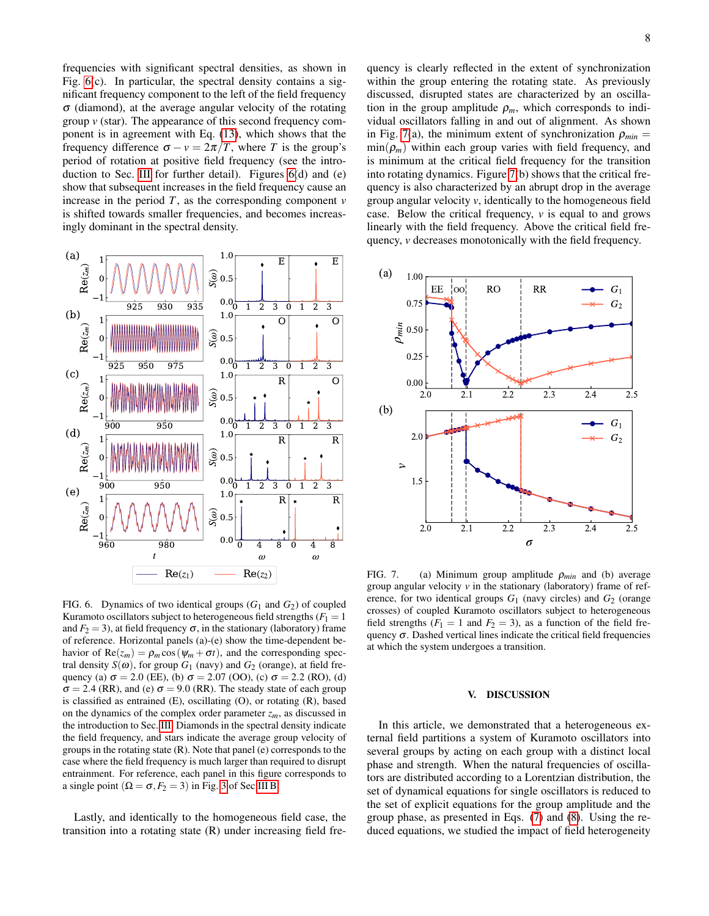frequencies with significant spectral densities, as shown in Fig. [6\(](#page-7-1)c). In particular, the spectral density contains a significant frequency component to the left of the field frequency  $\sigma$  (diamond), at the average angular velocity of the rotating group *v* (star). The appearance of this second frequency component is in agreement with Eq. [\(13\)](#page-2-2), which shows that the frequency difference  $\sigma - v = 2\pi/T$ , where *T* is the group's period of rotation at positive field frequency (see the introduction to Sec. [III](#page-1-0) for further detail). Figures [6\(](#page-7-1)d) and (e) show that subsequent increases in the field frequency cause an increase in the period  $T$ , as the corresponding component  $\nu$ is shifted towards smaller frequencies, and becomes increasingly dominant in the spectral density.



<span id="page-7-1"></span>FIG. 6. Dynamics of two identical groups  $(G_1 \text{ and } G_2)$  of coupled Kuramoto oscillators subject to heterogeneous field strengths  $(F_1 = 1)$ and  $F_2 = 3$ ), at field frequency  $\sigma$ , in the stationary (laboratory) frame of reference. Horizontal panels (a)-(e) show the time-dependent behavior of  $Re(z_m) = \rho_m cos(\psi_m + \sigma t)$ , and the corresponding spectral density  $S(\omega)$ , for group  $G_1$  (navy) and  $G_2$  (orange), at field frequency (a)  $\sigma = 2.0$  (EE), (b)  $\sigma = 2.07$  (OO), (c)  $\sigma = 2.2$  (RO), (d)  $\sigma$  = 2.4 (RR), and (e)  $\sigma$  = 9.0 (RR). The steady state of each group is classified as entrained (E), oscillating (O), or rotating (R), based on the dynamics of the complex order parameter  $z_m$ , as discussed in the introduction to Sec. [III.](#page-1-0) Diamonds in the spectral density indicate the field frequency, and stars indicate the average group velocity of groups in the rotating state (R). Note that panel (e) corresponds to the case where the field frequency is much larger than required to disrupt entrainment. For reference, each panel in this figure corresponds to a single point  $(\Omega = \sigma, F_2 = 3)$  $(\Omega = \sigma, F_2 = 3)$  $(\Omega = \sigma, F_2 = 3)$  in Fig. 3 of Sec [III B.](#page-4-1)

Lastly, and identically to the homogeneous field case, the transition into a rotating state (R) under increasing field frequency is clearly reflected in the extent of synchronization within the group entering the rotating state. As previously discussed, disrupted states are characterized by an oscillation in the group amplitude  $\rho_m$ , which corresponds to individual oscillators falling in and out of alignment. As shown in Fig. [7\(](#page-7-2)a), the minimum extent of synchronization  $\rho_{min}$  =  $min(\rho_m)$  within each group varies with field frequency, and is minimum at the critical field frequency for the transition into rotating dynamics. Figure [7\(](#page-7-2)b) shows that the critical frequency is also characterized by an abrupt drop in the average group angular velocity *v*, identically to the homogeneous field case. Below the critical frequency, *v* is equal to and grows linearly with the field frequency. Above the critical field frequency, *v* decreases monotonically with the field frequency.



<span id="page-7-2"></span>FIG. 7. (a) Minimum group amplitude ρ*min* and (b) average group angular velocity *v* in the stationary (laboratory) frame of reference, for two identical groups  $G_1$  (navy circles) and  $G_2$  (orange crosses) of coupled Kuramoto oscillators subject to heterogeneous field strengths  $(F_1 = 1$  and  $F_2 = 3)$ , as a function of the field frequency  $\sigma$ . Dashed vertical lines indicate the critical field frequencies at which the system undergoes a transition.

# <span id="page-7-0"></span>V. DISCUSSION

In this article, we demonstrated that a heterogeneous external field partitions a system of Kuramoto oscillators into several groups by acting on each group with a distinct local phase and strength. When the natural frequencies of oscillators are distributed according to a Lorentzian distribution, the set of dynamical equations for single oscillators is reduced to the set of explicit equations for the group amplitude and the group phase, as presented in Eqs. [\(7\)](#page-1-4) and [\(8\)](#page-1-4). Using the reduced equations, we studied the impact of field heterogeneity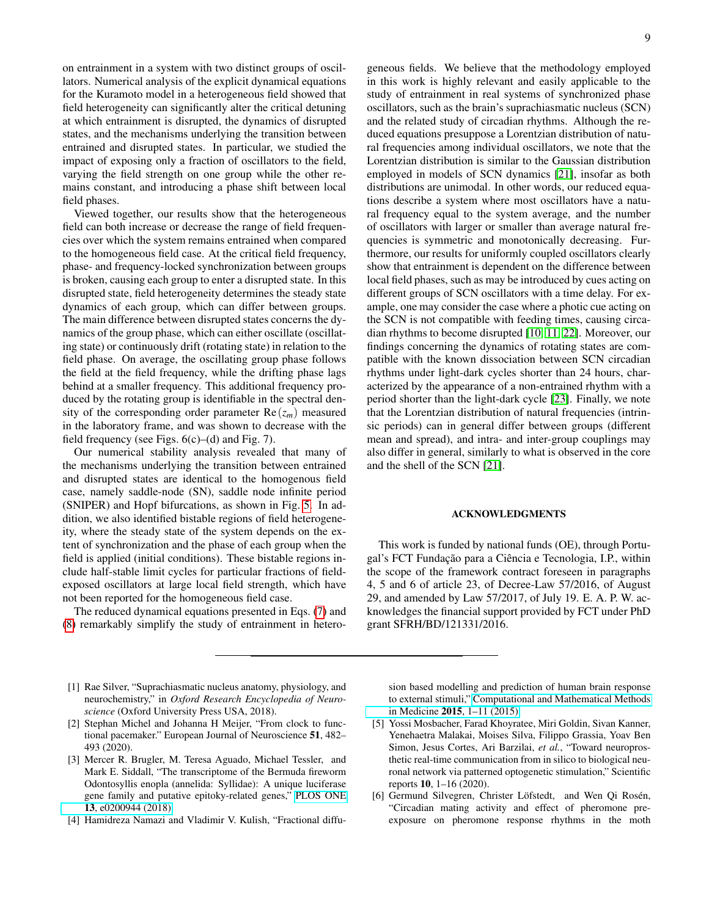on entrainment in a system with two distinct groups of oscillators. Numerical analysis of the explicit dynamical equations for the Kuramoto model in a heterogeneous field showed that field heterogeneity can significantly alter the critical detuning at which entrainment is disrupted, the dynamics of disrupted states, and the mechanisms underlying the transition between entrained and disrupted states. In particular, we studied the impact of exposing only a fraction of oscillators to the field, varying the field strength on one group while the other remains constant, and introducing a phase shift between local field phases.

Viewed together, our results show that the heterogeneous field can both increase or decrease the range of field frequencies over which the system remains entrained when compared to the homogeneous field case. At the critical field frequency, phase- and frequency-locked synchronization between groups is broken, causing each group to enter a disrupted state. In this disrupted state, field heterogeneity determines the steady state dynamics of each group, which can differ between groups. The main difference between disrupted states concerns the dynamics of the group phase, which can either oscillate (oscillating state) or continuously drift (rotating state) in relation to the field phase. On average, the oscillating group phase follows the field at the field frequency, while the drifting phase lags behind at a smaller frequency. This additional frequency produced by the rotating group is identifiable in the spectral density of the corresponding order parameter  $\text{Re}(z_m)$  measured in the laboratory frame, and was shown to decrease with the field frequency (see Figs.  $6(c)$ – $(d)$  and Fig. 7).

Our numerical stability analysis revealed that many of the mechanisms underlying the transition between entrained and disrupted states are identical to the homogenous field case, namely saddle-node (SN), saddle node infinite period (SNIPER) and Hopf bifurcations, as shown in Fig. [5.](#page-6-1) In addition, we also identified bistable regions of field heterogeneity, where the steady state of the system depends on the extent of synchronization and the phase of each group when the field is applied (initial conditions). These bistable regions include half-stable limit cycles for particular fractions of fieldexposed oscillators at large local field strength, which have not been reported for the homogeneous field case.

The reduced dynamical equations presented in Eqs. [\(7\)](#page-1-4) and [\(8\)](#page-1-4) remarkably simplify the study of entrainment in hetero-

geneous fields. We believe that the methodology employed in this work is highly relevant and easily applicable to the study of entrainment in real systems of synchronized phase oscillators, such as the brain's suprachiasmatic nucleus (SCN) and the related study of circadian rhythms. Although the reduced equations presuppose a Lorentzian distribution of natural frequencies among individual oscillators, we note that the Lorentzian distribution is similar to the Gaussian distribution employed in models of SCN dynamics [\[21\]](#page-9-12), insofar as both distributions are unimodal. In other words, our reduced equations describe a system where most oscillators have a natural frequency equal to the system average, and the number of oscillators with larger or smaller than average natural frequencies is symmetric and monotonically decreasing. Furthermore, our results for uniformly coupled oscillators clearly show that entrainment is dependent on the difference between local field phases, such as may be introduced by cues acting on different groups of SCN oscillators with a time delay. For example, one may consider the case where a photic cue acting on the SCN is not compatible with feeding times, causing circadian rhythms to become disrupted [\[10,](#page-9-3) [11,](#page-9-4) [22\]](#page-9-13). Moreover, our findings concerning the dynamics of rotating states are compatible with the known dissociation between SCN circadian rhythms under light-dark cycles shorter than 24 hours, characterized by the appearance of a non-entrained rhythm with a period shorter than the light-dark cycle [\[23\]](#page-9-14). Finally, we note that the Lorentzian distribution of natural frequencies (intrinsic periods) can in general differ between groups (different mean and spread), and intra- and inter-group couplings may also differ in general, similarly to what is observed in the core and the shell of the SCN [\[21\]](#page-9-12).

## ACKNOWLEDGMENTS

This work is funded by national funds (OE), through Portugal's FCT Fundação para a Ciência e Tecnologia, I.P., within the scope of the framework contract foreseen in paragraphs 4, 5 and 6 of article 23, of Decree-Law 57/2016, of August 29, and amended by Law 57/2017, of July 19. E. A. P. W. acknowledges the financial support provided by FCT under PhD grant SFRH/BD/121331/2016.

- <span id="page-8-0"></span>[1] Rae Silver, "Suprachiasmatic nucleus anatomy, physiology, and neurochemistry," in *Oxford Research Encyclopedia of Neuroscience* (Oxford University Press USA, 2018).
- <span id="page-8-1"></span>[2] Stephan Michel and Johanna H Meijer, "From clock to functional pacemaker." European Journal of Neuroscience 51, 482– 493 (2020).
- <span id="page-8-2"></span>[3] Mercer R. Brugler, M. Teresa Aguado, Michael Tessler, and Mark E. Siddall, "The transcriptome of the Bermuda fireworm Odontosyllis enopla (annelida: Syllidae): A unique luciferase gene family and putative epitoky-related genes," [PLOS ONE](http://dx.doi.org/10.1371/journal.pone.0200944) 13[, e0200944 \(2018\).](http://dx.doi.org/10.1371/journal.pone.0200944)
- <span id="page-8-3"></span>[4] Hamidreza Namazi and Vladimir V. Kulish, "Fractional diffu-

sion based modelling and prediction of human brain response to external stimuli," [Computational and Mathematical Methods](http://dx.doi.org/10.1155/2015/148534) in Medicine 2015[, 1–11 \(2015\).](http://dx.doi.org/10.1155/2015/148534)

- <span id="page-8-4"></span>[5] Yossi Mosbacher, Farad Khoyratee, Miri Goldin, Sivan Kanner, Yenehaetra Malakai, Moises Silva, Filippo Grassia, Yoav Ben Simon, Jesus Cortes, Ari Barzilai, *et al.*, "Toward neuroprosthetic real-time communication from in silico to biological neuronal network via patterned optogenetic stimulation," Scientific reports 10, 1–16 (2020).
- <span id="page-8-5"></span>[6] Germund Silvegren, Christer Löfstedt, and Wen Qi Rosén, "Circadian mating activity and effect of pheromone preexposure on pheromone response rhythms in the moth